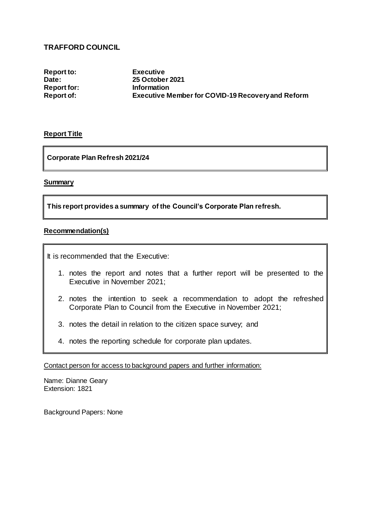## **TRAFFORD COUNCIL**

**Report to: Executive Report for:** 

**Date: 25 October 2021 Report of: Executive Member for COVID-19 Recovery and Reform** 

## **Report Title**

**Corporate Plan Refresh 2021/24**

## **Summary**

**This report provides a summary of the Council's Corporate Plan refresh.** 

## **Recommendation(s)**

It is recommended that the Executive:

- 1. notes the report and notes that a further report will be presented to the Executive in November 2021;
- 2. notes the intention to seek a recommendation to adopt the refreshed Corporate Plan to Council from the Executive in November 2021;
- 3. notes the detail in relation to the citizen space survey; and
- 4. notes the reporting schedule for corporate plan updates.

Contact person for access to background papers and further information:

Name: Dianne Geary Extension: 1821

Background Papers: None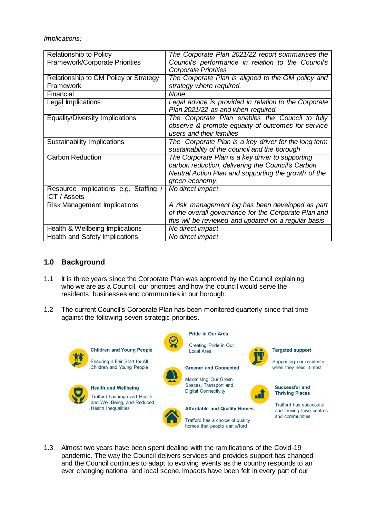*Implications:*

| <b>Relationship to Policy</b>         | The Corporate Plan 2021/22 report summarises the      |
|---------------------------------------|-------------------------------------------------------|
| Framework/Corporate Priorities        | Council's performance in relation to the Council's    |
|                                       | <b>Corporate Priorities</b>                           |
| Relationship to GM Policy or Strategy | The Corporate Plan is aligned to the GM policy and    |
| Framework                             | strategy where required.                              |
| Financial                             | <b>None</b>                                           |
| Legal Implications:                   | Legal advice is provided in relation to the Corporate |
|                                       | Plan 2021/22 as and when required.                    |
| Equality/Diversity Implications       | The Corporate Plan enables the Council to fully       |
|                                       | observe & promote equality of outcomes for service    |
|                                       | users and their families                              |
| Sustainability Implications           | The Corporate Plan is a key driver for the long term  |
|                                       | sustainability of the council and the borough         |
| <b>Carbon Reduction</b>               | The Corporate Plan is a key driver to supporting      |
|                                       | carbon reduction, delivering the Council's Carbon     |
|                                       | Neutral Action Plan and supporting the growth of the  |
|                                       | green economy.                                        |
| Resource Implications e.g. Staffing / | No direct impact                                      |
| <b>ICT</b> / Assets                   |                                                       |
| <b>Risk Management Implications</b>   | A risk management log has been developed as part      |
|                                       | of the overall governance for the Corporate Plan and  |
|                                       | this will be reviewed and updated on a regular basis  |
| Health & Wellbeing Implications       | No direct impact                                      |
| Health and Safety Implications        | No direct impact                                      |

## **1.0 Background**

- 1.1 It is three years since the Corporate Plan was approved by the Council explaining who we are as a Council, our priorities and how the council would serve the residents, businesses and communities in our borough.
- 1.2 The current Council's Corporate Plan has been monitored quarterly since that time against the following seven strategic priorities.



1.3 Almost two years have been spent dealing with the ramifications of the Covid-19 pandemic. The way the Council delivers services and provides support has changed and the Council continues to adapt to evolving events as the country responds to an ever changing national and local scene. Impacts have been felt in every part of our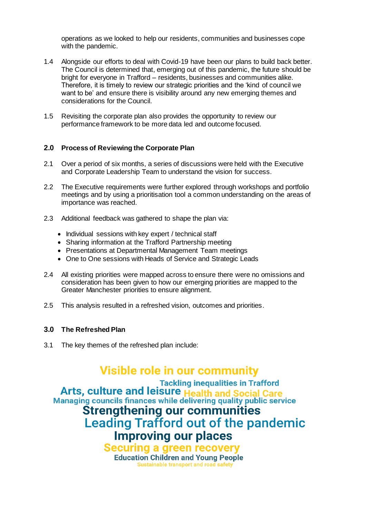operations as we looked to help our residents, communities and businesses cope with the pandemic.

- 1.4 Alongside our efforts to deal with Covid-19 have been our plans to build back better. The Council is determined that, emerging out of this pandemic, the future should be bright for everyone in Trafford – residents, businesses and communities alike. Therefore, it is timely to review our strategic priorities and the 'kind of council we want to be' and ensure there is visibility around any new emerging themes and considerations for the Council.
- 1.5 Revisiting the corporate plan also provides the opportunity to review our performance framework to be more data led and outcome focused.

## **2.0 Process of Reviewing the Corporate Plan**

- 2.1 Over a period of six months, a series of discussions were held with the Executive and Corporate Leadership Team to understand the vision for success.
- 2.2 The Executive requirements were further explored through workshops and portfolio meetings and by using a prioritisation tool a common understanding on the areas of importance was reached.
- 2.3 Additional feedback was gathered to shape the plan via:
	- Individual sessions with key expert / technical staff
	- Sharing information at the Trafford Partnership meeting
	- Presentations at Departmental Management Team meetings
	- One to One sessions with Heads of Service and Strategic Leads
- 2.4 All existing priorities were mapped across to ensure there were no omissions and consideration has been given to how our emerging priorities are mapped to the Greater Manchester priorities to ensure alignment.
- 2.5 This analysis resulted in a refreshed vision, outcomes and priorities.

## **3.0 The Refreshed Plan**

3.1 The key themes of the refreshed plan include:

# **Visible role in our community**

**Tackling inequalities in Trafford** 

Arts, culture and leisure Health and Social Care Managing councils finances while delivering quality public service

**Strengthening our communities Leading Trafford out of the pandemic** 

# **Improving our places**

**Securing a green recovery Education Children and Young People Sustainable transport and road safety**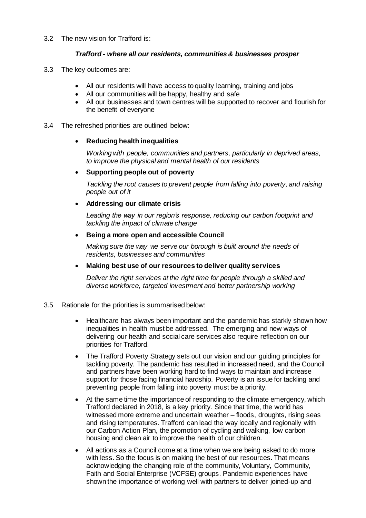#### 3.2 The new vision for Trafford is:

#### *Trafford - where all our residents, communities & businesses prosper*

- 3.3 The key outcomes are:
	- All our residents will have access to quality learning, training and jobs
	- All our communities will be happy, healthy and safe
	- All our businesses and town centres will be supported to recover and flourish for the benefit of everyone
- 3.4 The refreshed priorities are outlined below:

#### **Reducing health inequalities**

*Working with people, communities and partners, particularly in deprived areas, to improve the physical and mental health of our residents*

## **Supporting people out of poverty**

*Tackling the root causes to prevent people from falling into poverty, and raising people out of it*

#### **Addressing our climate crisis**

*Leading the way in our region's response, reducing our carbon footprint and tackling the impact of climate change* 

#### **Being a more open and accessible Council**

*Making sure the way we serve our borough is built around the needs of residents, businesses and communities*

**Making best use of our resources to deliver quality services**

*Deliver the right services at the right time for people through a skilled and diverse workforce, targeted investment and better partnership working*

#### 3.5 Rationale for the priorities is summarised below:

- Healthcare has always been important and the pandemic has starkly shown how inequalities in health must be addressed. The emerging and new ways of delivering our health and social care services also require reflection on our priorities for Trafford.
- The Trafford Poverty Strategy sets out our vision and our guiding principles for tackling poverty. The pandemic has resulted in increased need, and the Council and partners have been working hard to find ways to maintain and increase support for those facing financial hardship. Poverty is an issue for tackling and preventing people from falling into poverty must be a priority.
- At the same time the importance of responding to the climate emergency, which Trafford declared in 2018, is a key priority. Since that time, the world has witnessed more extreme and uncertain weather – floods, droughts, rising seas and rising temperatures. Trafford can lead the way locally and regionally with our Carbon Action Plan, the promotion of cycling and walking, low carbon housing and clean air to improve the health of our children.
- All actions as a Council come at a time when we are being asked to do more with less. So the focus is on making the best of our resources. That means acknowledging the changing role of the community, Voluntary, Community, Faith and Social Enterprise (VCFSE) groups. Pandemic experiences have shown the importance of working well with partners to deliver joined-up and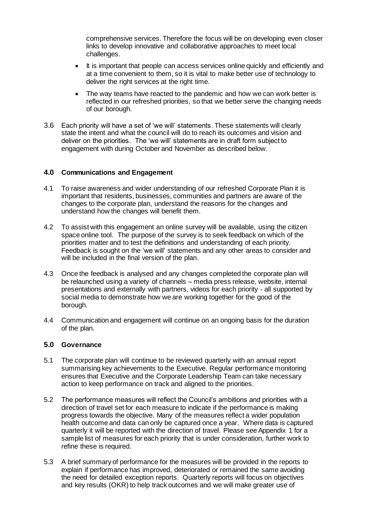comprehensive services. Therefore the focus will be on developing even closer links to develop innovative and collaborative approaches to meet local challenges.

- It is important that people can access services online quickly and efficiently and at a time convenient to them, so it is vital to make better use of technology to deliver the right services at the right time.
- The way teams have reacted to the pandemic and how we can work better is reflected in our refreshed priorities, so that we better serve the changing needs of our borough.
- 3.6 Each priority will have a set of 'we will' statements. These statements will clearly state the intent and what the council will do to reach its outcomes and vision and deliver on the priorities. The 'we will' statements are in draft form subject to engagement with during October and November as described below.

## **4.0 Communications and Engagement**

- 4.1 To raise awareness and wider understanding of our refreshed Corporate Plan it is important that residents, businesses, communities and partners are aware of the changes to the corporate plan, understand the reasons for the changes and understand how the changes will benefit them.
- 4.2 To assist with this engagement an online survey will be available, using the citizen space online tool. The purpose of the survey is to seek feedback on which of the priorities matter and to test the definitions and understanding of each priority. Feedback is sought on the 'we will' statements and any other areas to consider and will be included in the final version of the plan.
- 4.3 Once the feedback is analysed and any changes completed the corporate plan will be relaunched using a variety of channels – media press release, website, internal presentations and externally with partners, videos for each priority - all supported by social media to demonstrate how we are working together for the good of the borough.
- 4.4 Communication and engagement will continue on an ongoing basis for the duration of the plan.

## **5.0 Governance**

- 5.1 The corporate plan will continue to be reviewed quarterly with an annual report summarising key achievements to the Executive. Regular performance monitoring ensures that Executive and the Corporate Leadership Team can take necessary action to keep performance on track and aligned to the priorities.
- 5.2 The performance measures will reflect the Council's ambitions and priorities with a direction of travel set for each measure to indicate if the performance is making progress towards the objective. Many of the measures reflect a wider population health outcome and data can only be captured once a year. Where data is captured quarterly it will be reported with the direction of travel. Please see Appendix 1 for a sample list of measures for each priority that is under consideration, further work to refine these is required.
- 5.3 A brief summary of performance for the measures will be provided in the reports to explain if performance has improved, deteriorated or remained the same avoiding the need for detailed exception reports. Quarterly reports will focus on objectives and key results (OKR) to help track outcomes and we will make greater use of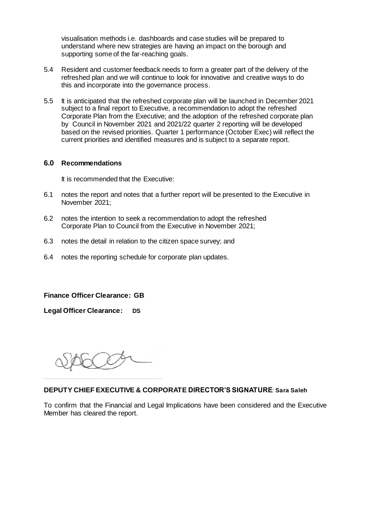visualisation methods i.e. dashboards and case studies will be prepared to understand where new strategies are having an impact on the borough and supporting some of the far-reaching goals.

- 5.4 Resident and customer feedback needs to form a greater part of the delivery of the refreshed plan and we will continue to look for innovative and creative ways to do this and incorporate into the governance process.
- 5.5 It is anticipated that the refreshed corporate plan will be launched in December 2021 subject to a final report to Executive, a recommendation to adopt the refreshed Corporate Plan from the Executive; and the adoption of the refreshed corporate plan by Council in November 2021 and 2021/22 quarter 2 reporting will be developed based on the revised priorities. Quarter 1 performance (October Exec) will reflect the current priorities and identified measures and is subject to a separate report.

#### **6.0 Recommendations**

It is recommended that the Executive:

- 6.1 notes the report and notes that a further report will be presented to the Executive in November 2021;
- 6.2 notes the intention to seek a recommendation to adopt the refreshed Corporate Plan to Council from the Executive in November 2021;
- 6.3 notes the detail in relation to the citizen space survey; and
- 6.4 notes the reporting schedule for corporate plan updates.

**Finance Officer Clearance: GB**

**Legal Officer Clearance: DS**

## **DEPUTY CHIEF EXECUTIVE & CORPORATE DIRECTOR'S SIGNATURE***:* **Sara Saleh**

To confirm that the Financial and Legal Implications have been considered and the Executive Member has cleared the report.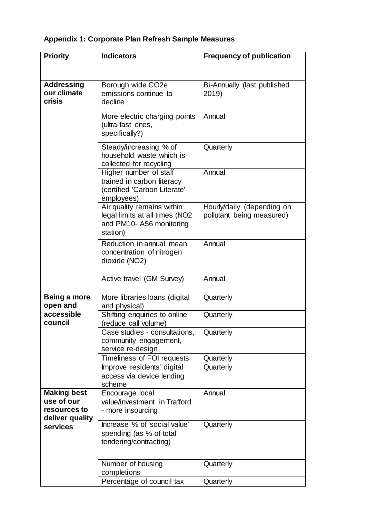# **Appendix 1: Corporate Plan Refresh Sample Measures**

| <b>Priority</b>                 | <b>Indicators</b>                                         | <b>Frequency of publication</b> |
|---------------------------------|-----------------------------------------------------------|---------------------------------|
|                                 |                                                           |                                 |
|                                 |                                                           |                                 |
| <b>Addressing</b>               | Borough wide CO <sub>2</sub> e                            | Bi-Annually (last published     |
| our climate                     | emissions continue to                                     | 2019)                           |
| <b>crisis</b>                   | decline                                                   |                                 |
|                                 | More electric charging points                             | Annual                          |
|                                 | (ultra-fast ones,                                         |                                 |
|                                 | specifically?)                                            |                                 |
|                                 | Steady/increasing % of                                    | Quarterly                       |
|                                 | household waste which is                                  |                                 |
|                                 | collected for recycling                                   |                                 |
|                                 | Higher number of staff                                    | Annual                          |
|                                 | trained in carbon literacy                                |                                 |
|                                 | (certified 'Carbon Literate'                              |                                 |
|                                 | employees)                                                |                                 |
|                                 | Air quality remains within                                | Hourly/daily (depending on      |
|                                 | legal limits at all times (NO2<br>and PM10-A56 monitoring | pollutant being measured)       |
|                                 | station)                                                  |                                 |
|                                 | Reduction in annual mean                                  | Annual                          |
|                                 | concentration of nitrogen                                 |                                 |
|                                 | dioxide (NO2)                                             |                                 |
|                                 |                                                           |                                 |
|                                 | Active travel (GM Survey)                                 | Annual                          |
|                                 |                                                           |                                 |
| Being a more                    | More libraries loans (digital                             | Quarterly                       |
| open and                        | and physical)                                             |                                 |
| accessible                      | Shifting enquiries to online                              | Quarterly                       |
| council                         | reduce call volume)                                       |                                 |
|                                 | Case studies - consultations,<br>community engagement,    | Quarterly                       |
|                                 | service re-design                                         |                                 |
|                                 | Timeliness of FOI requests                                | Quarterly                       |
|                                 | Improve residents' digital                                | Quarterly                       |
|                                 | access via device lending                                 |                                 |
|                                 | scheme                                                    |                                 |
| <b>Making best</b>              | Encourage local                                           | Annual                          |
| use of our                      | value/investment in Trafford                              |                                 |
| resources to<br>deliver quality | - more insourcing                                         |                                 |
| services                        | Increase % of 'social value'                              | Quarterly                       |
|                                 | spending (as % of total                                   |                                 |
|                                 | tendering/contracting)                                    |                                 |
|                                 |                                                           |                                 |
|                                 | Number of housing                                         | Quarterly                       |
|                                 | completions                                               |                                 |
|                                 | Percentage of council tax                                 | Quarterly                       |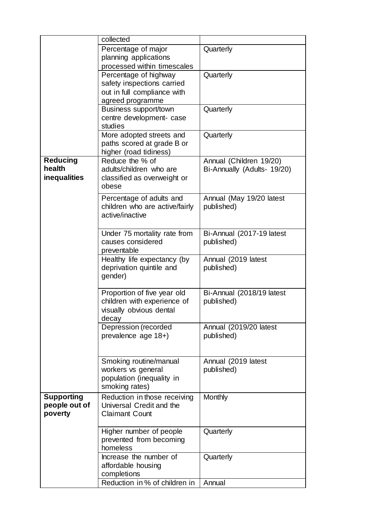|                     | collected                      |                             |
|---------------------|--------------------------------|-----------------------------|
|                     | Percentage of major            | Quarterly                   |
|                     | planning applications          |                             |
|                     | processed within timescales    |                             |
|                     | Percentage of highway          | Quarterly                   |
|                     | safety inspections carried     |                             |
|                     | out in full compliance with    |                             |
|                     | agreed programme               |                             |
|                     | <b>Business support/town</b>   | Quarterly                   |
|                     | centre development- case       |                             |
|                     | studies                        |                             |
|                     | More adopted streets and       | Quarterly                   |
|                     | paths scored at grade B or     |                             |
|                     | higher (road tidiness)         |                             |
| <b>Reducing</b>     | Reduce the % of                | Annual (Children 19/20)     |
| health              | adults/children who are        | Bi-Annually (Adults- 19/20) |
| <b>inequalities</b> | classified as overweight or    |                             |
|                     | obese                          |                             |
|                     | Percentage of adults and       | Annual (May 19/20 latest    |
|                     | children who are active/fairly | published)                  |
|                     | active/inactive                |                             |
|                     |                                |                             |
|                     | Under 75 mortality rate from   | Bi-Annual (2017-19 latest   |
|                     | causes considered              | published)                  |
|                     | preventable                    |                             |
|                     | Healthy life expectancy (by    | Annual (2019 latest         |
|                     | deprivation quintile and       | published)                  |
|                     | gender)                        |                             |
|                     |                                |                             |
|                     | Proportion of five year old    | Bi-Annual (2018/19 latest   |
|                     | children with experience of    | published)                  |
|                     | visually obvious dental        |                             |
|                     | decay                          |                             |
|                     | Depression (recorded           | Annual (2019/20 latest      |
|                     | prevalence age 18+)            | published)                  |
|                     |                                |                             |
|                     |                                |                             |
|                     | Smoking routine/manual         | Annual (2019 latest         |
|                     | workers vs general             | published)                  |
|                     | population (inequality in      |                             |
|                     | smoking rates)                 |                             |
| <b>Supporting</b>   | Reduction in those receiving   | <b>Monthly</b>              |
| people out of       | Universal Credit and the       |                             |
| poverty             | <b>Claimant Count</b>          |                             |
|                     |                                |                             |
|                     | Higher number of people        | Quarterly                   |
|                     | prevented from becoming        |                             |
|                     | homeless                       |                             |
|                     | Increase the number of         | Quarterly                   |
|                     | affordable housing             |                             |
|                     | completions                    |                             |
|                     | Reduction in % of children in  | Annual                      |